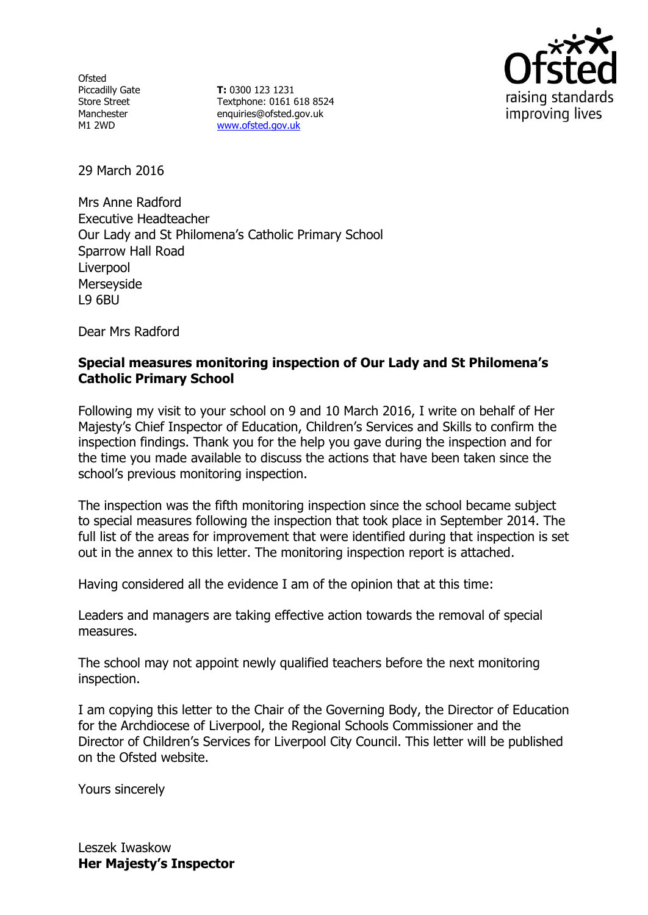Ofsted Piccadilly Gate Store Street Manchester M1 2WD

**T:** 0300 123 1231 Textphone: 0161 618 8524 enquiries@ofsted.gov.uk [www.ofsted.gov.uk](http://www.ofsted.gov.uk/)



29 March 2016

Mrs Anne Radford Executive Headteacher Our Lady and St Philomena's Catholic Primary School Sparrow Hall Road Liverpool Merseyside L9 6BU

Dear Mrs Radford

## **Special measures monitoring inspection of Our Lady and St Philomena's Catholic Primary School**

Following my visit to your school on 9 and 10 March 2016, I write on behalf of Her Majesty's Chief Inspector of Education, Children's Services and Skills to confirm the inspection findings. Thank you for the help you gave during the inspection and for the time you made available to discuss the actions that have been taken since the school's previous monitoring inspection.

The inspection was the fifth monitoring inspection since the school became subject to special measures following the inspection that took place in September 2014. The full list of the areas for improvement that were identified during that inspection is set out in the annex to this letter. The monitoring inspection report is attached.

Having considered all the evidence I am of the opinion that at this time:

Leaders and managers are taking effective action towards the removal of special measures.

The school may not appoint newly qualified teachers before the next monitoring inspection.

I am copying this letter to the Chair of the Governing Body, the Director of Education for the Archdiocese of Liverpool, the Regional Schools Commissioner and the Director of Children's Services for Liverpool City Council. This letter will be published on the Ofsted website.

Yours sincerely

Leszek Iwaskow **Her Majesty's Inspector**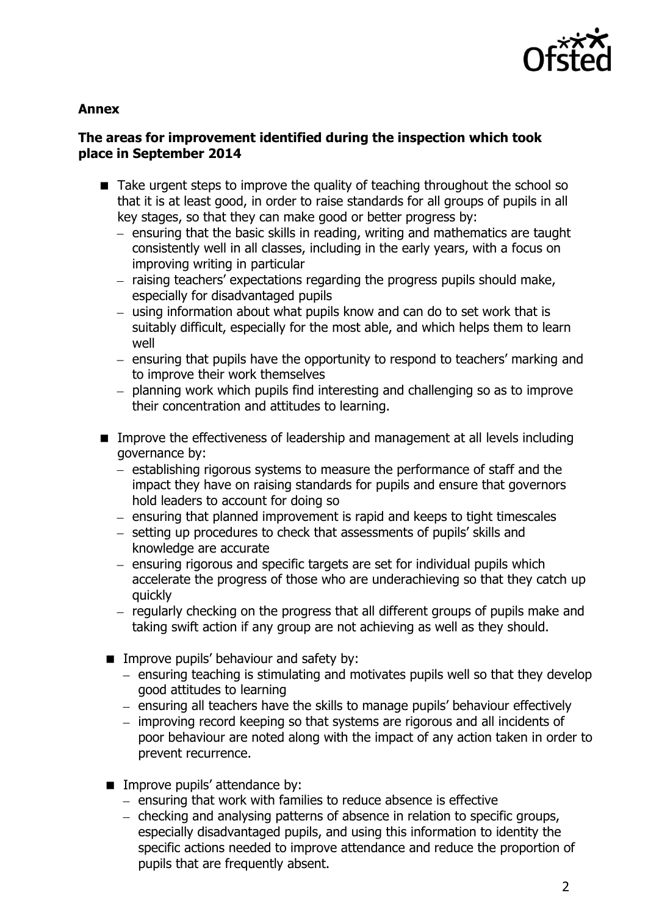

#### **Annex**

# **The areas for improvement identified during the inspection which took place in September 2014**

- Take urgent steps to improve the quality of teaching throughout the school so that it is at least good, in order to raise standards for all groups of pupils in all key stages, so that they can make good or better progress by:
	- $-$  ensuring that the basic skills in reading, writing and mathematics are taught consistently well in all classes, including in the early years, with a focus on improving writing in particular
	- raising teachers' expectations regarding the progress pupils should make, especially for disadvantaged pupils
	- using information about what pupils know and can do to set work that is suitably difficult, especially for the most able, and which helps them to learn well
	- ensuring that pupils have the opportunity to respond to teachers' marking and to improve their work themselves
	- planning work which pupils find interesting and challenging so as to improve their concentration and attitudes to learning.
- Improve the effectiveness of leadership and management at all levels including governance by:
	- establishing rigorous systems to measure the performance of staff and the impact they have on raising standards for pupils and ensure that governors hold leaders to account for doing so
	- $-$  ensuring that planned improvement is rapid and keeps to tight timescales
	- setting up procedures to check that assessments of pupils' skills and knowledge are accurate
	- $-$  ensuring rigorous and specific targets are set for individual pupils which accelerate the progress of those who are underachieving so that they catch up quickly
	- regularly checking on the progress that all different groups of pupils make and taking swift action if any group are not achieving as well as they should.
	- **IMPROVE pupils' behaviour and safety by:** 
		- ensuring teaching is stimulating and motivates pupils well so that they develop good attitudes to learning
		- ensuring all teachers have the skills to manage pupils' behaviour effectively
		- improving record keeping so that systems are rigorous and all incidents of poor behaviour are noted along with the impact of any action taken in order to prevent recurrence.
	- **IMPROVE pupils' attendance by:** 
		- $-$  ensuring that work with families to reduce absence is effective
		- checking and analysing patterns of absence in relation to specific groups, especially disadvantaged pupils, and using this information to identity the specific actions needed to improve attendance and reduce the proportion of pupils that are frequently absent.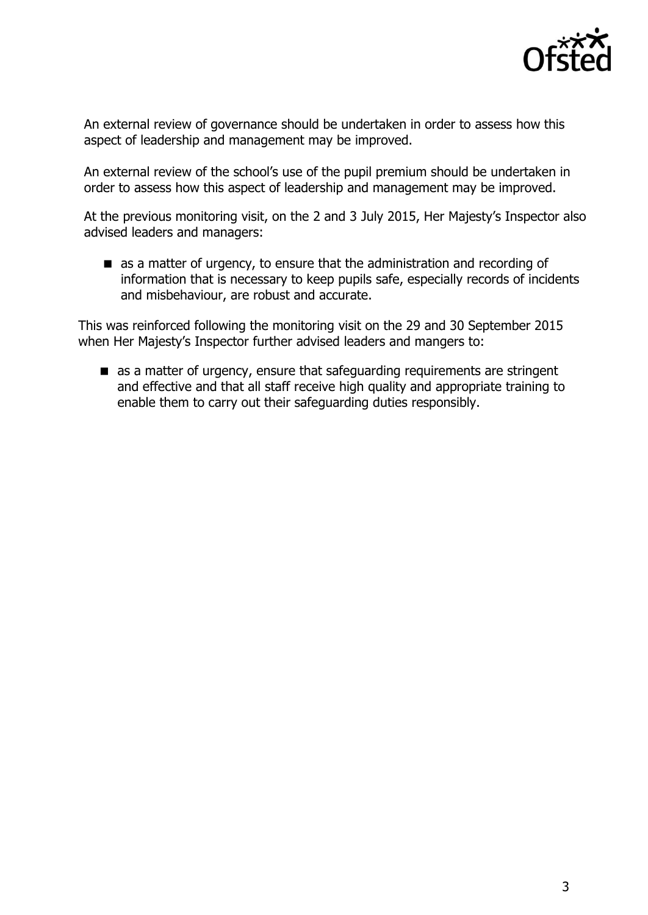

An external review of governance should be undertaken in order to assess how this aspect of leadership and management may be improved.

An external review of the school's use of the pupil premium should be undertaken in order to assess how this aspect of leadership and management may be improved.

At the previous monitoring visit, on the 2 and 3 July 2015, Her Majesty's Inspector also advised leaders and managers:

as a matter of urgency, to ensure that the administration and recording of information that is necessary to keep pupils safe, especially records of incidents and misbehaviour, are robust and accurate.

This was reinforced following the monitoring visit on the 29 and 30 September 2015 when Her Majesty's Inspector further advised leaders and mangers to:

as a matter of urgency, ensure that safeguarding requirements are stringent and effective and that all staff receive high quality and appropriate training to enable them to carry out their safeguarding duties responsibly.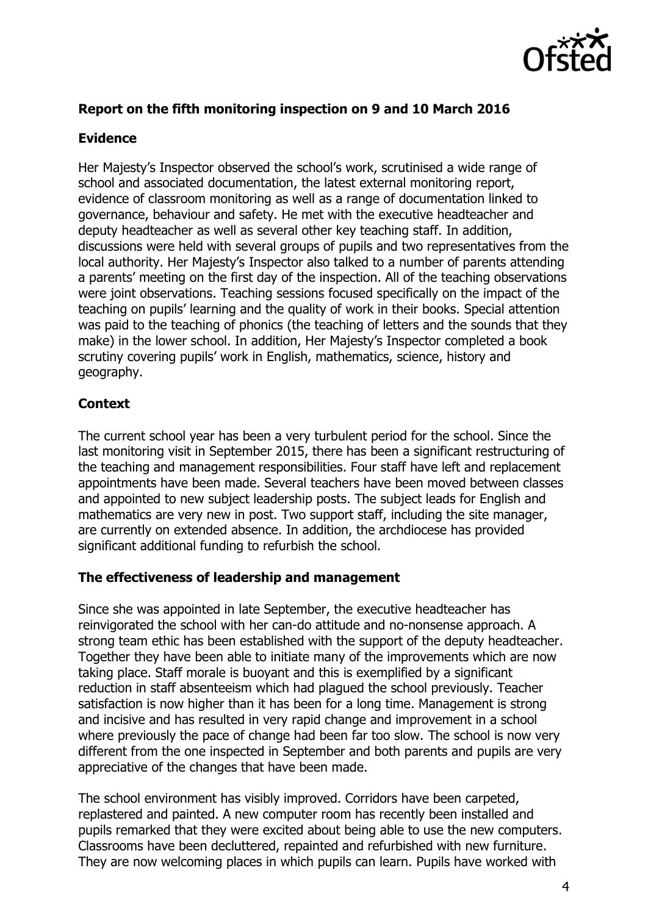

# **Report on the fifth monitoring inspection on 9 and 10 March 2016**

### **Evidence**

Her Majesty's Inspector observed the school's work, scrutinised a wide range of school and associated documentation, the latest external monitoring report, evidence of classroom monitoring as well as a range of documentation linked to governance, behaviour and safety. He met with the executive headteacher and deputy headteacher as well as several other key teaching staff. In addition, discussions were held with several groups of pupils and two representatives from the local authority. Her Majesty's Inspector also talked to a number of parents attending a parents' meeting on the first day of the inspection. All of the teaching observations were joint observations. Teaching sessions focused specifically on the impact of the teaching on pupils' learning and the quality of work in their books. Special attention was paid to the teaching of phonics (the teaching of letters and the sounds that they make) in the lower school. In addition, Her Majesty's Inspector completed a book scrutiny covering pupils' work in English, mathematics, science, history and geography.

## **Context**

The current school year has been a very turbulent period for the school. Since the last monitoring visit in September 2015, there has been a significant restructuring of the teaching and management responsibilities. Four staff have left and replacement appointments have been made. Several teachers have been moved between classes and appointed to new subject leadership posts. The subject leads for English and mathematics are very new in post. Two support staff, including the site manager, are currently on extended absence. In addition, the archdiocese has provided significant additional funding to refurbish the school.

#### **The effectiveness of leadership and management**

Since she was appointed in late September, the executive headteacher has reinvigorated the school with her can-do attitude and no-nonsense approach. A strong team ethic has been established with the support of the deputy headteacher. Together they have been able to initiate many of the improvements which are now taking place. Staff morale is buoyant and this is exemplified by a significant reduction in staff absenteeism which had plagued the school previously. Teacher satisfaction is now higher than it has been for a long time. Management is strong and incisive and has resulted in very rapid change and improvement in a school where previously the pace of change had been far too slow. The school is now very different from the one inspected in September and both parents and pupils are very appreciative of the changes that have been made.

The school environment has visibly improved. Corridors have been carpeted, replastered and painted. A new computer room has recently been installed and pupils remarked that they were excited about being able to use the new computers. Classrooms have been decluttered, repainted and refurbished with new furniture. They are now welcoming places in which pupils can learn. Pupils have worked with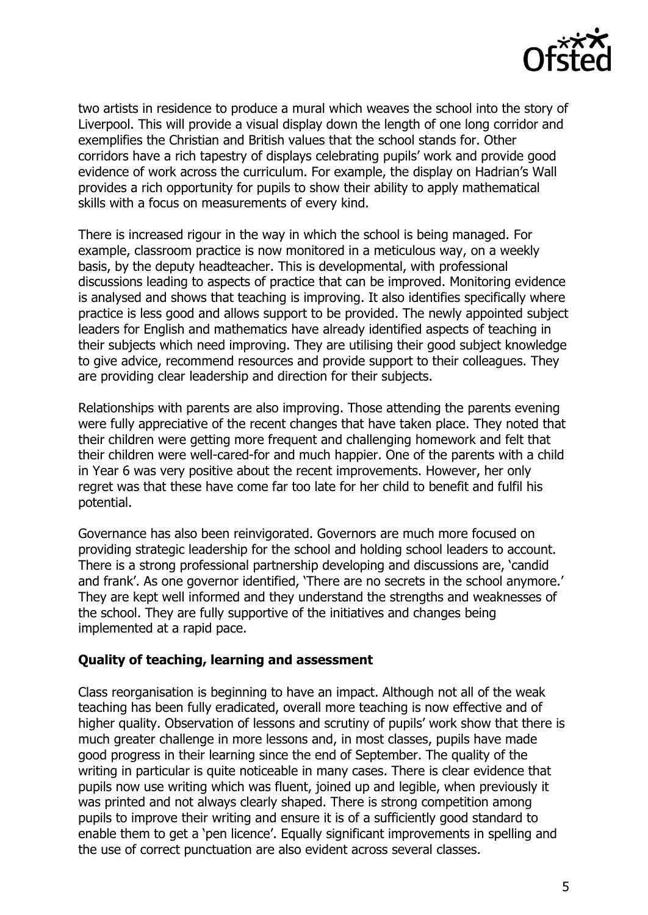

two artists in residence to produce a mural which weaves the school into the story of Liverpool. This will provide a visual display down the length of one long corridor and exemplifies the Christian and British values that the school stands for. Other corridors have a rich tapestry of displays celebrating pupils' work and provide good evidence of work across the curriculum. For example, the display on Hadrian's Wall provides a rich opportunity for pupils to show their ability to apply mathematical skills with a focus on measurements of every kind.

There is increased rigour in the way in which the school is being managed. For example, classroom practice is now monitored in a meticulous way, on a weekly basis, by the deputy headteacher. This is developmental, with professional discussions leading to aspects of practice that can be improved. Monitoring evidence is analysed and shows that teaching is improving. It also identifies specifically where practice is less good and allows support to be provided. The newly appointed subject leaders for English and mathematics have already identified aspects of teaching in their subjects which need improving. They are utilising their good subject knowledge to give advice, recommend resources and provide support to their colleagues. They are providing clear leadership and direction for their subjects.

Relationships with parents are also improving. Those attending the parents evening were fully appreciative of the recent changes that have taken place. They noted that their children were getting more frequent and challenging homework and felt that their children were well-cared-for and much happier. One of the parents with a child in Year 6 was very positive about the recent improvements. However, her only regret was that these have come far too late for her child to benefit and fulfil his potential.

Governance has also been reinvigorated. Governors are much more focused on providing strategic leadership for the school and holding school leaders to account. There is a strong professional partnership developing and discussions are, 'candid and frank'. As one governor identified, 'There are no secrets in the school anymore.' They are kept well informed and they understand the strengths and weaknesses of the school. They are fully supportive of the initiatives and changes being implemented at a rapid pace.

#### **Quality of teaching, learning and assessment**

Class reorganisation is beginning to have an impact. Although not all of the weak teaching has been fully eradicated, overall more teaching is now effective and of higher quality. Observation of lessons and scrutiny of pupils' work show that there is much greater challenge in more lessons and, in most classes, pupils have made good progress in their learning since the end of September. The quality of the writing in particular is quite noticeable in many cases. There is clear evidence that pupils now use writing which was fluent, joined up and legible, when previously it was printed and not always clearly shaped. There is strong competition among pupils to improve their writing and ensure it is of a sufficiently good standard to enable them to get a 'pen licence'. Equally significant improvements in spelling and the use of correct punctuation are also evident across several classes.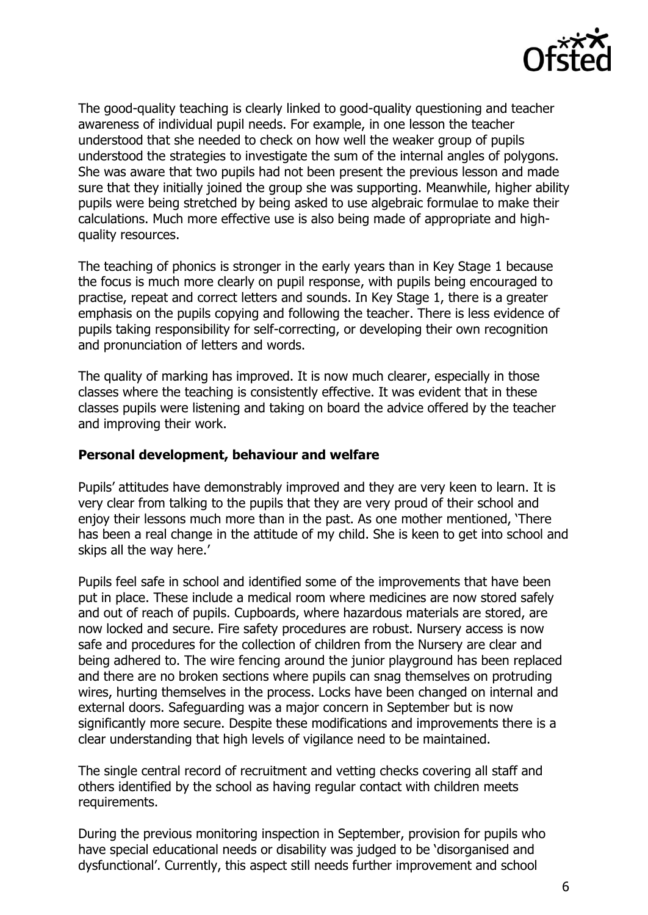

The good-quality teaching is clearly linked to good-quality questioning and teacher awareness of individual pupil needs. For example, in one lesson the teacher understood that she needed to check on how well the weaker group of pupils understood the strategies to investigate the sum of the internal angles of polygons. She was aware that two pupils had not been present the previous lesson and made sure that they initially joined the group she was supporting. Meanwhile, higher ability pupils were being stretched by being asked to use algebraic formulae to make their calculations. Much more effective use is also being made of appropriate and highquality resources.

The teaching of phonics is stronger in the early years than in Key Stage 1 because the focus is much more clearly on pupil response, with pupils being encouraged to practise, repeat and correct letters and sounds. In Key Stage 1, there is a greater emphasis on the pupils copying and following the teacher. There is less evidence of pupils taking responsibility for self-correcting, or developing their own recognition and pronunciation of letters and words.

The quality of marking has improved. It is now much clearer, especially in those classes where the teaching is consistently effective. It was evident that in these classes pupils were listening and taking on board the advice offered by the teacher and improving their work.

### **Personal development, behaviour and welfare**

Pupils' attitudes have demonstrably improved and they are very keen to learn. It is very clear from talking to the pupils that they are very proud of their school and enjoy their lessons much more than in the past. As one mother mentioned, 'There has been a real change in the attitude of my child. She is keen to get into school and skips all the way here.'

Pupils feel safe in school and identified some of the improvements that have been put in place. These include a medical room where medicines are now stored safely and out of reach of pupils. Cupboards, where hazardous materials are stored, are now locked and secure. Fire safety procedures are robust. Nursery access is now safe and procedures for the collection of children from the Nursery are clear and being adhered to. The wire fencing around the junior playground has been replaced and there are no broken sections where pupils can snag themselves on protruding wires, hurting themselves in the process. Locks have been changed on internal and external doors. Safeguarding was a major concern in September but is now significantly more secure. Despite these modifications and improvements there is a clear understanding that high levels of vigilance need to be maintained.

The single central record of recruitment and vetting checks covering all staff and others identified by the school as having regular contact with children meets requirements.

During the previous monitoring inspection in September, provision for pupils who have special educational needs or disability was judged to be 'disorganised and dysfunctional'. Currently, this aspect still needs further improvement and school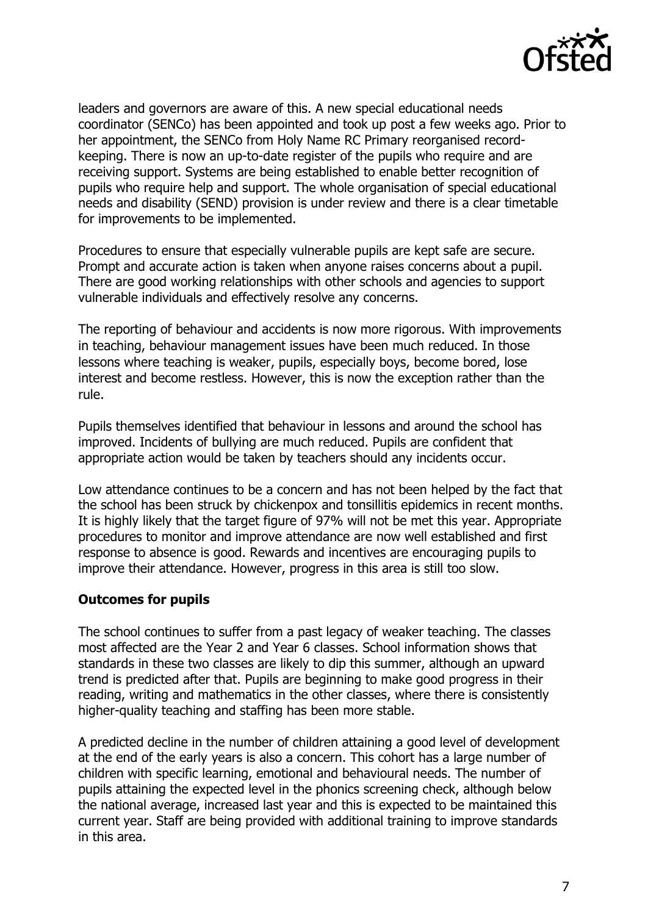

leaders and governors are aware of this. A new special educational needs coordinator (SENCo) has been appointed and took up post a few weeks ago. Prior to her appointment, the SENCo from Holy Name RC Primary reorganised recordkeeping. There is now an up-to-date register of the pupils who require and are receiving support. Systems are being established to enable better recognition of pupils who require help and support. The whole organisation of special educational needs and disability (SEND) provision is under review and there is a clear timetable for improvements to be implemented.

Procedures to ensure that especially vulnerable pupils are kept safe are secure. Prompt and accurate action is taken when anyone raises concerns about a pupil. There are good working relationships with other schools and agencies to support vulnerable individuals and effectively resolve any concerns.

The reporting of behaviour and accidents is now more rigorous. With improvements in teaching, behaviour management issues have been much reduced. In those lessons where teaching is weaker, pupils, especially boys, become bored, lose interest and become restless. However, this is now the exception rather than the rule.

Pupils themselves identified that behaviour in lessons and around the school has improved. Incidents of bullying are much reduced. Pupils are confident that appropriate action would be taken by teachers should any incidents occur.

Low attendance continues to be a concern and has not been helped by the fact that the school has been struck by chickenpox and tonsillitis epidemics in recent months. It is highly likely that the target figure of 97% will not be met this year. Appropriate procedures to monitor and improve attendance are now well established and first response to absence is good. Rewards and incentives are encouraging pupils to improve their attendance. However, progress in this area is still too slow.

## **Outcomes for pupils**

The school continues to suffer from a past legacy of weaker teaching. The classes most affected are the Year 2 and Year 6 classes. School information shows that standards in these two classes are likely to dip this summer, although an upward trend is predicted after that. Pupils are beginning to make good progress in their reading, writing and mathematics in the other classes, where there is consistently higher-quality teaching and staffing has been more stable.

A predicted decline in the number of children attaining a good level of development at the end of the early years is also a concern. This cohort has a large number of children with specific learning, emotional and behavioural needs. The number of pupils attaining the expected level in the phonics screening check, although below the national average, increased last year and this is expected to be maintained this current year. Staff are being provided with additional training to improve standards in this area.